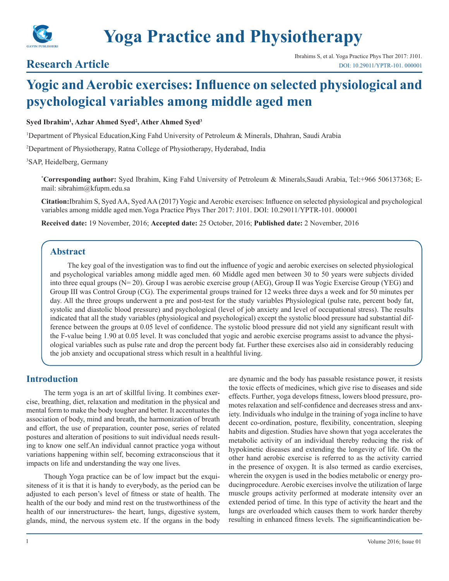

# **Yoga Practice and Physiotherapy**

## **Research Article**

## **Yogic and Aerobic exercises: Influence on selected physiological and psychological variables among middle aged men**

#### **Syed Ibrahim1 , Azhar Ahmed Syed2 , Ather Ahmed Syed3**

1 Department of Physical Education,King Fahd University of Petroleum & Minerals, Dhahran, Saudi Arabia

2 Department of Physiotherapy, Ratna College of Physiotherapy, Hyderabad, India

3 SAP, Heidelberg, Germany

**\* Corresponding author:** Syed Ibrahim, King Fahd University of Petroleum & Minerals,Saudi Arabia, Tel:+966 506137368; Email: sibrahim@kfupm.edu.sa

**Citation:**Ibrahim S, Syed AA, Syed AA (2017) Yogic and Aerobic exercises: Influence on selected physiological and psychological variables among middle aged men.Yoga Practice Phys Ther 2017: J101. DOI: 10.29011/YPTR-101. 000001

**Received date:** 19 November, 2016; **Accepted date:** 25 October, 2016; **Published date:** 2 November, 2016

### **Abstract**

The key goal of the investigation was to find out the influence of yogic and aerobic exercises on selected physiological and psychological variables among middle aged men. 60 Middle aged men between 30 to 50 years were subjects divided into three equal groups (N= 20). Group I was aerobic exercise group (AEG), Group II was Yogic Exercise Group (YEG) and Group III was Control Group (CG). The experimental groups trained for 12 weeks three days a week and for 50 minutes per day. All the three groups underwent a pre and post-test for the study variables Physiological (pulse rate, percent body fat, systolic and diastolic blood pressure) and psychological (level of job anxiety and level of occupational stress). The results indicated that all the study variables (physiological and psychological) except the systolic blood pressure had substantial difference between the groups at 0.05 level of confidence. The systolic blood pressure did not yield any significant result with the F-value being 1.90 at 0.05 level. It was concluded that yogic and aerobic exercise programs assist to advance the physiological variables such as pulse rate and drop the percent body fat. Further these exercises also aid in considerably reducing the job anxiety and occupational stress which result in a healthful living.

### **Introduction**

The term yoga is an art of skillful living. It combines exercise, breathing, diet, relaxation and meditation in the physical and mental form to make the body tougher and better. It accentuates the association of body, mind and breath, the harmonization of breath and effort, the use of preparation, counter pose, series of related postures and alteration of positions to suit individual needs resulting to know one self.An individual cannot practice yoga without variations happening within self, becoming extraconscious that it impacts on life and understanding the way one lives.

Though Yoga practice can be of low impact but the exquisiteness of it is that it is handy to everybody, as the period can be adjusted to each person's level of fitness or state of health. The health of the our body and mind rest on the trustworthiness of the health of our innerstructures- the heart, lungs, digestive system, glands, mind, the nervous system etc. If the organs in the body

are dynamic and the body has passable resistance power, it resists the toxic effects of medicines, which give rise to diseases and side effects. Further, yoga develops fitness, lowers blood pressure, promotes relaxation and self-confidence and decreases stress and anxiety. Individuals who indulge in the training of yoga incline to have decent co-ordination, posture, flexibility, concentration, sleeping habits and digestion. Studies have shown that yoga accelerates the metabolic activity of an individual thereby reducing the risk of hypokinetic diseases and extending the longevity of life. On the other hand aerobic exercise is referred to as the activity carried in the presence of oxygen. It is also termed as cardio exercises, wherein the oxygen is used in the bodies metabolic or energy producingprocedure. Aerobic exercises involve the utilization of large muscle groups activity performed at moderate intensity over an extended period of time. In this type of activity the heart and the lungs are overloaded which causes them to work harder thereby resulting in enhanced fitness levels. The significantindication be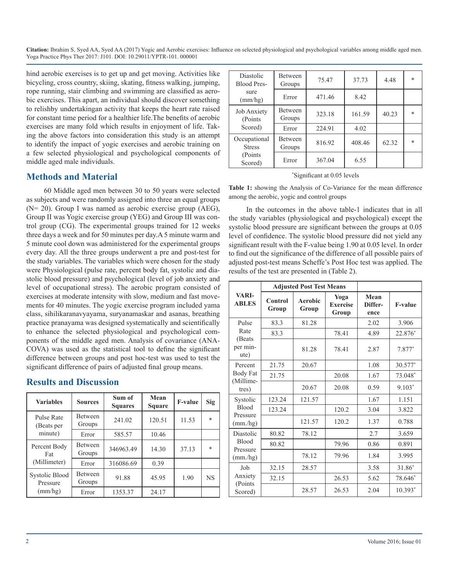**Citation:** Ibrahim S, Syed AA, Syed AA (2017) Yogic and Aerobic exercises: Influence on selected physiological and psychological variables among middle aged men. Yoga Practice Phys Ther 2017: J101. DOI: 10.29011/YPTR-101. 000001

hind aerobic exercises is to get up and get moving. Activities like bicycling, cross country, skiing, skating, fitness walking, jumping, rope running, stair climbing and swimming are classified as aerobic exercises. This apart, an individual should discover something to relishby undertakingan activity that keeps the heart rate raised for constant time period for a healthier life.The benefits of aerobic exercises are many fold which results in enjoyment of life. Taking the above factors into consideration this study is an attempt to identify the impact of yogic exercises and aerobic training on a few selected physiological and psychological components of middle aged male individuals.

## **Methods and Material**

60 Middle aged men between 30 to 50 years were selected as subjects and were randomly assigned into three an equal groups (N= 20). Group I was named as aerobic exercise group (AEG), Group II was Yogic exercise group (YEG) and Group III was control group (CG). The experimental groups trained for 12 weeks three days a week and for 50 minutes per day.A 5 minute warm and 5 minute cool down was administered for the experimental groups every day. All the three groups underwent a pre and post-test for the study variables. The variables which were chosen for the study were Physiological (pulse rate, percent body fat, systolic and diastolic blood pressure) and psychological (level of job anxiety and level of occupational stress). The aerobic program consisted of exercises at moderate intensity with slow, medium and fast movements for 40 minutes. The yogic exercise program included yama class, sihilikaranavyayama, suryanamaskar and asanas, breathing practice pranayama was designed systematically and scientifically to enhance the selected physiological and psychological components of the middle aged men. Analysis of covariance (ANA-COVA) was used as the statistical tool to define the significant difference between groups and post hoc-test was used to test the significant difference of pairs of adjusted final group means.

## **Results and Discussion**

| <b>Variables</b>                      | <b>Sources</b>           | Sum of<br><b>Squares</b> | Mean<br><b>Square</b> | <b>F-value</b> | Sig    |
|---------------------------------------|--------------------------|--------------------------|-----------------------|----------------|--------|
| Pulse Rate<br>(Beats per<br>minute)   | <b>Between</b><br>Groups | 241.02                   | 120.51                | 11.53          | $\ast$ |
|                                       | Error                    | 585.57                   | 10.46                 |                |        |
| Percent Body<br>Fat<br>(Millimeter)   | <b>Between</b><br>Groups | 346963.49                | 14.30                 | 37.13          | $\ast$ |
|                                       | Error                    | 316086.69                | 0.39                  |                |        |
| Systolic Blood<br>Pressure<br>(mm/hg) | Between<br>Groups        | 91.88                    | 45.95                 | 1.90           | NS     |
|                                       | Error                    | 1353.37                  | 24.17                 |                |        |

| <b>Diastolic</b><br><b>Blood Pres-</b><br>sure<br>(mm/hg) | <b>Between</b><br>Groups | 75.47  | 37.73  | 4.48  | *      |
|-----------------------------------------------------------|--------------------------|--------|--------|-------|--------|
|                                                           | Error                    | 471.46 | 8.42   |       |        |
| Job Anxiety<br>(Points)<br>Scored)                        | <b>Between</b><br>Groups | 323.18 | 161.59 | 40.23 | $\ast$ |
|                                                           | Error                    | 224.91 | 4.02   |       |        |
| Occupational<br><b>Stress</b>                             | <b>Between</b><br>Groups | 816.92 | 408.46 | 62.32 | *      |
| (Points)<br>Scored)                                       | Error                    | 367.04 | 6.55   |       |        |

#### \* Significant at 0.05 levels

**Table 1:** showing the Analysis of Co-Variance for the mean difference among the aerobic, yogic and control groups

In the outcomes in the above table-1 indicates that in all the study variables (physiological and psychological) except the systolic blood pressure are significant between the groups at 0.05 level of confidence. The systolic blood pressure did not yield any significant result with the F-value being 1.90 at 0.05 level. In order to find out the significance of the difference of all possible pairs of adjusted post-test means Scheffe's Post Hoc test was applied. The results of the test are presented in (Table 2).

|                                                  |                  | <b>Adjusted Post Test Means</b> |                                  |                         |                |
|--------------------------------------------------|------------------|---------------------------------|----------------------------------|-------------------------|----------------|
| VARI-<br><b>ABLES</b>                            | Control<br>Group | Aerobic<br>Group                | Yoga<br><b>Exercise</b><br>Group | Mean<br>Differ-<br>ence | <b>F-value</b> |
| Pulse<br>Rate<br>(Beats<br>per min-<br>ute)      | 83.3             | 81.28                           |                                  | 2.02                    | 3.906          |
|                                                  | 83.3             |                                 | 78.41                            | 4.89                    | 22.876*        |
|                                                  |                  | 81.28                           | 78.41                            | 2.87                    | 7.877*         |
| Percent<br>Body Fat<br>(Millime-<br>tres)        | 21.75            | 20.67                           |                                  | 1.08                    | 30.577*        |
|                                                  | 21.75            |                                 | 20.08                            | 1.67                    | 73.048*        |
|                                                  |                  | 20.67                           | 20.08                            | 0.59                    | 9.103*         |
| Systolic<br><b>Blood</b><br>Pressure<br>(mm./hg) | 123.24           | 121.57                          |                                  | 1.67                    | 1.151          |
|                                                  | 123.24           |                                 | 120.2                            | 3.04                    | 3.822          |
|                                                  |                  | 121.57                          | 120.2                            | 1.37                    | 0.788          |
| Diastolic<br>Blood<br>Pressure<br>(mm./hg)       | 80.82            | 78.12                           |                                  | 2.7                     | 3.659          |
|                                                  | 80.82            |                                 | 79.96                            | 0.86                    | 0.891          |
|                                                  |                  | 78.12                           | 79.96                            | 1.84                    | 3.995          |
| Job<br>Anxiety<br>(Points<br>Scored)             | 32.15            | 28.57                           |                                  | 3.58                    | 31.86*         |
|                                                  | 32.15            |                                 | 26.53                            | 5.62                    | 78.646*        |
|                                                  |                  | 28.57                           | 26.53                            | 2.04                    | $10.393*$      |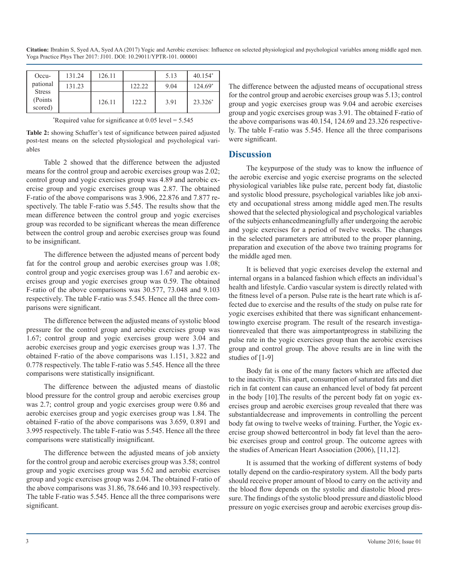**Citation:** Ibrahim S, Syed AA, Syed AA (2017) Yogic and Aerobic exercises: Influence on selected physiological and psychological variables among middle aged men. Yoga Practice Phys Ther 2017: J101. DOI: 10.29011/YPTR-101. 000001

| Occu-         | 131 24 | 126.11 |        | 5.13 | $40.154*$ |
|---------------|--------|--------|--------|------|-----------|
| pational      | 131.23 |        | 122.22 | 9.04 | $124.69*$ |
| <b>Stress</b> |        |        |        |      |           |
| (Points)      |        | 126.11 | 122.2  | 3.91 | $23.326*$ |
| scored)       |        |        |        |      |           |

\* Required value for significance at 0.05 level = 5.545

**Table 2:** showing Schaffer's test of significance between paired adjusted post-test means on the selected physiological and psychological variables

Table 2 showed that the difference between the adjusted means for the control group and aerobic exercises group was 2.02; control group and yogic exercises group was 4.89 and aerobic exercise group and yogic exercises group was 2.87. The obtained F-ratio of the above comparisons was 3.906, 22.876 and 7.877 respectively. The table F-ratio was 5.545. The results show that the mean difference between the control group and yogic exercises group was recorded to be significant whereas the mean difference between the control group and aerobic exercises group was found to be insignificant.

The difference between the adjusted means of percent body fat for the control group and aerobic exercises group was 1.08; control group and yogic exercises group was 1.67 and aerobic exercises group and yogic exercises group was 0.59. The obtained F-ratio of the above comparisons was 30.577, 73.048 and 9.103 respectively. The table F-ratio was 5.545. Hence all the three comparisons were significant.

The difference between the adjusted means of systolic blood pressure for the control group and aerobic exercises group was 1.67; control group and yogic exercises group were 3.04 and aerobic exercises group and yogic exercises group was 1.37. The obtained F-ratio of the above comparisons was 1.151, 3.822 and 0.778 respectively. The table F-ratio was 5.545. Hence all the three comparisons were statistically insignificant.

The difference between the adjusted means of diastolic blood pressure for the control group and aerobic exercises group was 2.7; control group and yogic exercises group were 0.86 and aerobic exercises group and yogic exercises group was 1.84. The obtained F-ratio of the above comparisons was 3.659, 0.891 and 3.995 respectively. The table F-ratio was 5.545. Hence all the three comparisons were statistically insignificant.

The difference between the adjusted means of job anxiety for the control group and aerobic exercises group was 3.58; control group and yogic exercises group was 5.62 and aerobic exercises group and yogic exercises group was 2.04. The obtained F-ratio of the above comparisons was 31.86, 78.646 and 10.393 respectively. The table F-ratio was 5.545. Hence all the three comparisons were significant.

The difference between the adjusted means of occupational stress for the control group and aerobic exercises group was 5.13; control group and yogic exercises group was 9.04 and aerobic exercises group and yogic exercises group was 3.91. The obtained F-ratio of the above comparisons was 40.154, 124.69 and 23.326 respectively. The table F-ratio was 5.545. Hence all the three comparisons were significant.

#### **Discussion**

The keypurpose of the study was to know the influence of the aerobic exercise and yogic exercise programs on the selected physiological variables like pulse rate, percent body fat, diastolic and systolic blood pressure, psychological variables like job anxiety and occupational stress among middle aged men.The results showed that the selected physiological and psychological variables of the subjects enhancedmeaningfully after undergoing the aerobic and yogic exercises for a period of twelve weeks. The changes in the selected parameters are attributed to the proper planning, preparation and execution of the above two training programs for the middle aged men.

It is believed that yogic exercises develop the external and internal organs in a balanced fashion which effects an individual's health and lifestyle. Cardio vascular system is directly related with the fitness level of a person. Pulse rate is the heart rate which is affected due to exercise and the results of the study on pulse rate for yogic exercises exhibited that there was significant enhancementtowingto exercise program. The result of the research investigationrevealed that there was aimportantprogress in stabilizing the pulse rate in the yogic exercises group than the aerobic exercises group and control group. The above results are in line with the studies of [1-9]

Body fat is one of the many factors which are affected due to the inactivity. This apart, consumption of saturated fats and diet rich in fat content can cause an enhanced level of body fat percent in the body [10].The results of the percent body fat on yogic exercises group and aerobic exercises group revealed that there was substantialdecrease and improvements in controlling the percent body fat owing to twelve weeks of training. Further, the Yogic exercise group showed bettercontrol in body fat level than the aerobic exercises group and control group. The outcome agrees with the studies of American Heart Association (2006), [11,12].

It is assumed that the working of different systems of body totally depend on the cardio-respiratory system. All the body parts should receive proper amount of blood to carry on the activity and the blood flow depends on the systolic and diastolic blood pressure. The findings of the systolic blood pressure and diastolic blood pressure on yogic exercises group and aerobic exercises group dis